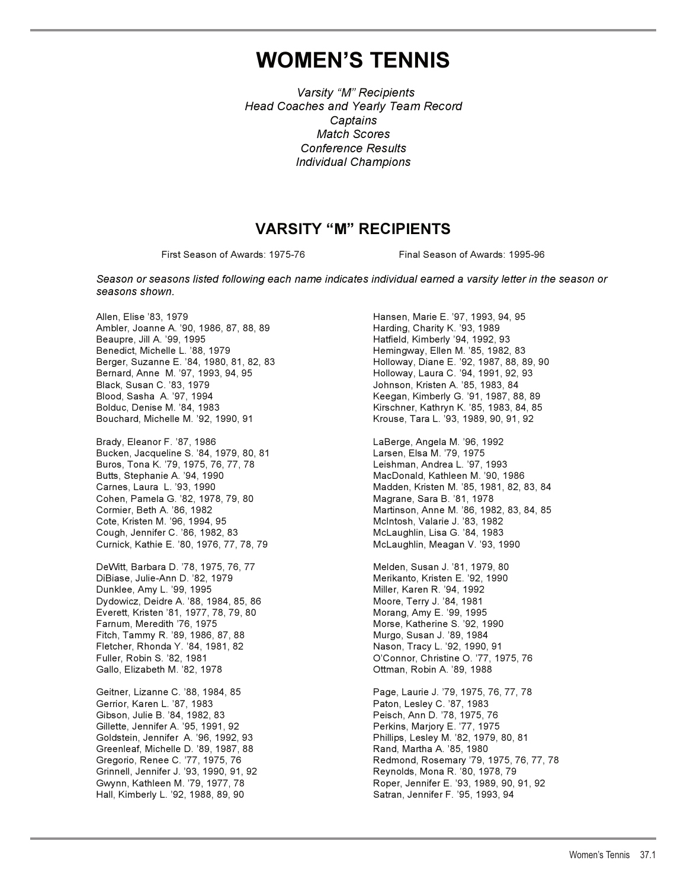# **WOMEN'S TENNIS**

*Varsity "M" Recipients Head Coaches and Yearly Team Record Captains Match Scores Conference Results Individual Champions*

## **VARSITY "M" RECIPIENTS**

First Season of Awards: 1975-76 Final Season of Awards: 1995-96

*Season or seasons listed following each name indicates individual earned a varsity letter in the season or seasons shown.*

Ambler, Joanne A. '90, 1986, 87, 88, 89 Harding, Charity K. '93, 1989 Beaupre, Jill A. '99, 1995 Hatfield, Kimberly '94, 1992, 93 Berger, Suzanne E. '84, 1980, 81, 82, 83 Holloway, Diane E. '92, 1987, 88, 89, 90 Bernard, Anne M. '97, 1993, 94, 95 **Holloway, Laura C. '94, 1991, 92, 93** Black, Susan C. '83, 1979 Johnson, Kristen A. '85, 1983, 84 Blood, Sasha A. '97, 1994 Keegan, Kimberly G. '91, 1987, 88, 89 Bouchard, Michelle M. '92, 1990, 91 Krouse, Tara L. '93, 1989, 90, 91, 92

Brady, Eleanor F. '87, 1986 LaBerge, Angela M. '96, 1992 Bucken, Jacqueline S. '84, 1979, 80, 81 Larsen, Elsa M. '79, 1975 Buros, Tona K. '79, 1975, 76, 77, 78 Leishman, Andrea L. '97, 1993 Cohen, Pamela G. '82, 1978, 79, 80 Cote, Kristen M. '96, 1994, 95 McIntosh, Valarie J. '83, 1982 Cough, Jennifer C. '86, 1982, 83 McLaughlin, Lisa G. '84, 1983 Curnick, Kathie E. '80, 1976, 77, 78, 79 McLaughlin, Meagan V. '93, 1990

DeWitt, Barbara D. '78, 1975, 76, 77 Melden, Susan J. '81, 1979, 80 DiBiase, Julie-Ann D. '82, 1979 Merikanto, Kristen E. '92, 1990 Dunklee, Amy L. '99, 1995 Miller, Karen R. '94, 1992 Dydowicz, Deidre A. '88, 1984, 85, 86 Moore, Terry J. '84, 1981 Everett, Kristen '81, 1977, 78, 79, 80 Morang, Amy E. '99, 1995 Fitch, Tammy R. '89, 1986, 87, 88 Murgo, Susan J. '89, 1984<br>Fletcher, Rhonda Y. '84, 1981, 82 Museum Mason, Tracy L. '92, 1990, 91 Fletcher, Rhonda Y. '84, 1981, 82 Fuller, Robin S. '82, 1981 O'Connor, Christine O. '77, 1975, 76 Gallo, Elizabeth M. '82, 1978 Ottman, Robin A. '89, 1988

Geitner, Lizanne C. '88, 1984, 85 Page, Laurie J. '79, 1975, 76, 77, 78 Gerrior, Karen L. '87, 1983<br>Gibson, Julie B. '84, 1982, 83 Peisch, Ann D. '78, 1975, 76 Gibson, Julie B. '84, 1982, 83 Gillette, Jennifer A. '95, 1991, 92 <br>
Perkins, Marjory E. '77, 1975 Goldstein, Jennifer A. '96, 1992, 93 Phillips, Lesley M. '82, 1979, 80, 81 Greenleaf, Michelle D. '89, 1987, 88 Rand, Martha A. '85, 1980 Grinnell, Jennifer J. '93, 1990, 91, 92 Reynolds, Mona R. '80, 1978, 79 Hall, Kimberly L. '92, 1988, 89, 90

Allen, Elise '83, 1979 Hansen, Marie E. '97, 1993, 94, 95 Hemingway, Ellen M. '85, 1982, 83 Kirschner, Kathryn K. '85, 1983, 84, 85

MacDonald, Kathleen M. '90, 1986 Carnes, Laura L. '93, 1990 Madden, Kristen M. '85, 1981, 82, 83, 84 Cormier, Beth A. '86, 1982 Martinson, Anne M. '86, 1982, 83, 84, 85

Morse, Katherine S. '92, 1990

Gregorio, Renee C. '77, 1975, 76 Redmond, Rosemary '79, 1975, 76, 77, 78 Roper, Jennifer E. '93, 1989, 90, 91, 92<br>Satran, Jennifer F. '95, 1993, 94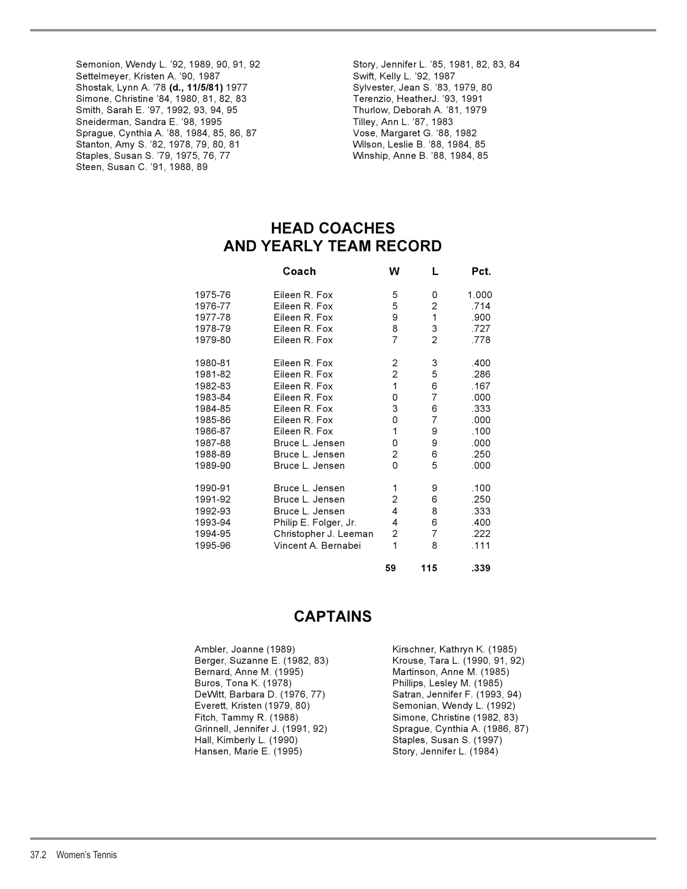Semonion, Wendy L. '92, 1989, 90, 91, 92 Story, Jennifer L. '85, 1981, 82, 83, 84<br>Settelmeyer, Kristen A. '90, 1987 Story, Swift, Kelly L. '92, 1987 Settelmeyer, Kristen A. '90, 1987<br>
Shostak, Lynn A. '78 **(d., 11/5/81)** 1977 Shostak, Lynn A. '78 **(d., 11/5/81)** 1977 Shostak, Lynn A. '78 **(d., 11/5/81)** 1977 Sylvester, Jean S. '83, 1979, 80 Simone, Christine '84, 1980, 81, 82, 83 Terenzio, HeatherJ. '93, 1991<br>Smith, Sarah E. '97, 1992, 93, 94, 95 Thurlow, Deborah A. '81, 1979 Smith, Sarah E. '97, 1992, 93, 94, 95 Sneiderman, Sandra E. '98, 1995 Tilley, Ann L. '87, 1983 Sprague, Cynthia A. '88, 1984, 85, 86, 87 Stanton, Amy S. '82, 1978, 79, 80, 81 Wilson, Leslie B. '88, 1984, 85 Staples, Susan S. '79, 1975, 76, 77 Steen, Susan C. '91, 1988, 89

## **HEAD COACHES AND YEARLY TEAM RECORD**

|         | Coach                 | W              | L              | Pct.  |
|---------|-----------------------|----------------|----------------|-------|
| 1975-76 | Eileen R. Fox         | 5              | 0              | 1.000 |
| 1976-77 | Eileen R. Fox         | 5              | 2              | .714  |
| 1977-78 | Fileen R Fox          | 9              | 1              | .900  |
| 1978-79 | Eileen R. Fox         | 8              | 3              | .727  |
| 1979-80 | Eileen R. Fox         | 7              | $\overline{2}$ | .778  |
| 1980-81 | Eileen R. Fox         | 2              | 3              | .400  |
| 1981-82 | Eileen R. Fox         | $\overline{c}$ | 5              | .286  |
| 1982-83 | Eileen R. Fox         | 1              | 6              | .167  |
| 1983-84 | Eileen R. Fox         | 0              | $\overline{7}$ | .000  |
| 1984-85 | Eileen R. Fox         | 3              | 6              | .333  |
| 1985-86 | Eileen R. Fox         | 0              | $\overline{7}$ | .000  |
| 1986-87 | Eileen R. Fox         | 1              | 9              | .100  |
| 1987-88 | Bruce L. Jensen       | 0              | 9              | .000  |
| 1988-89 | Bruce L. Jensen       | 2              | 6              | .250  |
| 1989-90 | Bruce L. Jensen       | $\Omega$       | 5              | .000  |
| 1990-91 | Bruce L. Jensen       | 1              | 9              | .100  |
| 1991-92 | Bruce L. Jensen       | 2              | 6              | .250  |
| 1992-93 | Bruce L. Jensen       | 4              | 8              | .333  |
| 1993-94 | Philip E. Folger, Jr. | 4              | 6              | .400  |
| 1994-95 | Christopher J. Leeman | 2              | 7              | .222  |
| 1995-96 | Vincent A. Bernabei   | $\mathbf{1}$   | 8              | .111  |
|         |                       | 59             | 115            | .339  |

## **CAPTAINS**

| Ambler, Joanne (1989)            | Kirschner, Kathryn K. (1985)   |
|----------------------------------|--------------------------------|
| Berger, Suzanne E. (1982, 83)    | Krouse, Tara L. (1990, 91, 92) |
| Bernard, Anne M. (1995)          | Martinson, Anne M. (1985)      |
| Buros, Tona K. (1978)            | Phillips, Lesley M. (1985)     |
| DeWitt, Barbara D. (1976, 77)    | Satran, Jennifer F. (1993, 94) |
| Everett, Kristen (1979, 80)      | Semonian, Wendy L. (1992)      |
| Fitch, Tammy R. (1988)           | Simone, Christine (1982, 83)   |
| Grinnell, Jennifer J. (1991, 92) | Sprague, Cynthia A. (1986, 87) |
| Hall, Kimberly L. (1990)         | Staples, Susan S. (1997)       |
| Hansen, Marie E. (1995)          | Story, Jennifer L. (1984)      |
|                                  |                                |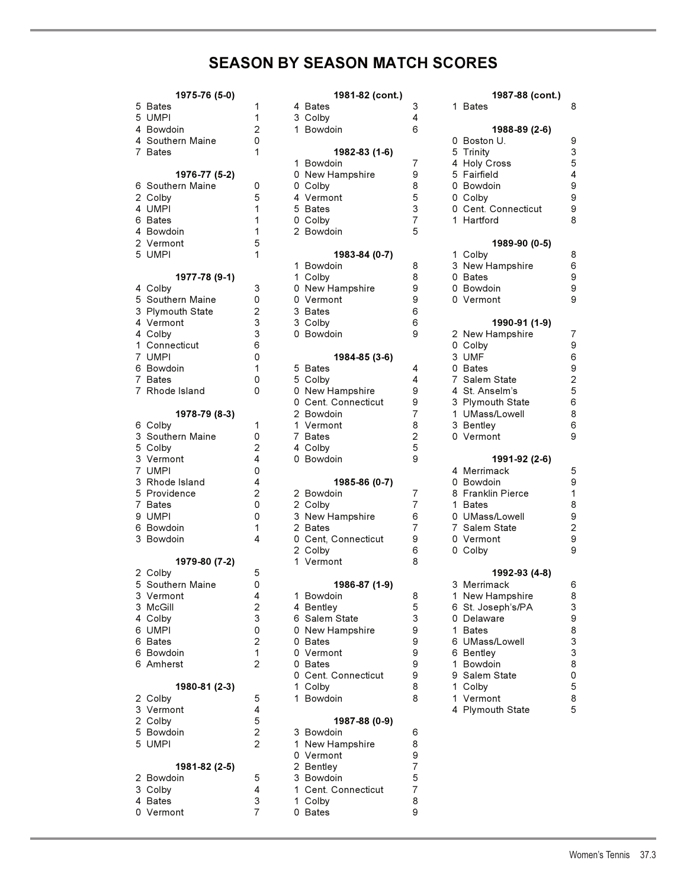# **SEASON BY SEASON MATCH SCORES**

| 1975-76 (5-0)                 |                     | 1981-82 (cont.)            |                | 1987-88 (cont.)                 |
|-------------------------------|---------------------|----------------------------|----------------|---------------------------------|
| 5 Bates                       | 1                   | 4 Bates                    | 3              | 1 Bates                         |
| 5 UMPI                        | 1                   | 3 Colby                    | 4              |                                 |
| 4 Bowdoin                     | $\overline{c}$      | 1 Bowdoin                  | 6              | 1988-89 (2-6)                   |
| 4 Southern Maine              | 0                   |                            |                | 0 Boston U.                     |
| 7 Bates                       | 1                   | 1982-83 (1-6)              |                | 5 Trinity                       |
|                               |                     | 1 Bowdoin                  | $\overline{7}$ | 4 Holy Cross                    |
| 1976-77 (5-2)                 |                     | 0 New Hampshire            | 9              | 5 Fairfield                     |
| 6 Southern Maine              | 0                   | 0 Colby                    | 8              | 0 Bowdoin                       |
| 2 Colby                       | 5                   | 4 Vermont                  | 5              | 0 Colby                         |
| 4 UMPI                        | 1                   | 5 Bates                    | 3              | 0 Cent. Connecticut             |
| 6 Bates                       | 1                   | 0 Colby                    | $\overline{7}$ | 1 Hartford                      |
| 4 Bowdoin                     | 1                   | 2 Bowdoin                  | 5              |                                 |
| 2 Vermont                     | 5                   |                            |                | 1989-90 (0-5)                   |
| 5 UMPI                        | 1                   | 1983-84 (0-7)              |                | 1 Colby                         |
|                               |                     | 1 Bowdoin                  | 8              | 3 New Hampshire                 |
| 1977-78 (9-1)                 |                     | 1 Colby                    | 8              | 0 Bates                         |
| 4 Colby                       | 3                   | 0 New Hampshire            | 9              | 0 Bowdoin                       |
| 5 Southern Maine              | 0                   | 0 Vermont                  | 9              | 0 Vermont                       |
| 3 Plymouth State              | $\overline{c}$      | 3 Bates                    | 6              |                                 |
| 4 Vermont                     | 3                   | 3 Colby                    | 6              | 1990-91 (1-9)                   |
| 4 Colby                       | 3                   | 0 Bowdoin                  | 9              | 2 New Hampshire                 |
| 1 Connecticut                 | 6                   |                            |                | 0 Colby                         |
| 7 UMPI                        | 0                   | 1984-85 (3-6)              |                | 3 UMF                           |
| 6 Bowdoin                     | 1                   | 5 Bates                    | 4              | 0 Bates                         |
| 7 Bates                       | 0                   | 5 Colby                    | 4              | 7 Salem State                   |
| 7 Rhode Island                | 0                   | 0 New Hampshire            | 9              | 4 St. Anselm's                  |
|                               |                     | 0 Cent. Connecticut        | 9              | 3 Plymouth State                |
| 1978-79 (8-3)                 |                     | 2 Bowdoin                  | $\overline{7}$ | 1 UMass/Lowell                  |
| 6 Colby                       | 1                   | 1 Vermont                  | 8              | 3 Bentley                       |
| 3 Southern Maine              | 0                   | 7 Bates                    | $\overline{2}$ | 0 Vermont                       |
| 5 Colby                       | $\overline{2}$      | 4 Colby                    | 5              |                                 |
| 3 Vermont                     | 4                   | 0 Bowdoin                  | 9              | 1991-92 (2-6)                   |
| 7 UMPI                        | 0                   |                            |                | 4 Merrimack                     |
| 3 Rhode Island                | $\overline{4}$      | 1985-86 (0-7)              |                | 0 Bowdoin                       |
| 5 Providence                  | $\overline{c}$      | 2 Bowdoin                  | 7              | 8 Franklin Pierce               |
| 7 Bates                       | 0                   | 2 Colby                    | 7              | 1 Bates                         |
| 9 UMPI                        | 0                   | 3 New Hampshire            | 6              | 0 UMass/Lowell                  |
| 6 Bowdoin                     | 1                   | 2 Bates                    | 7              | 7 Salem State                   |
|                               | 4                   | 0 Cent, Connecticut        | 9              | 0 Vermont                       |
|                               |                     |                            |                |                                 |
| 3 Bowdoin                     |                     |                            |                |                                 |
|                               |                     | 2 Colby<br>1 Vermont       | 6<br>8         | 0 Colby                         |
| 1979-80 (7-2)                 | 5                   |                            |                |                                 |
| 2 Colby                       | 0                   |                            |                | 1992-93 (4-8)                   |
| 5 Southern Maine<br>3 Vermont | 4                   | 1986-87 (1-9)<br>1 Bowdoin |                | 3 Merrimack                     |
| 3 McGill                      |                     |                            | 8<br>5         | 1 New Hampshire                 |
|                               | $\overline{c}$<br>3 | 4 Bentley                  | 3              | 6 St. Joseph's/PA<br>0 Delaware |
| 4 Colby<br>6 UMPI             |                     | 6 Salem State              | 9              | 1 Bates                         |
| 6 Bates                       | 0                   | 0 New Hampshire<br>0 Bates | 9              |                                 |
|                               | $\overline{c}$<br>1 | 0 Vermont                  | 9              | 6 UMass/Lowell                  |
| 6 Bowdoin<br>6 Amherst        | 2                   | 0 Bates                    | 9              | 6 Bentley                       |
|                               |                     | 0 Cent. Connecticut        | 9              | 1 Bowdoin                       |
|                               |                     |                            | 8              | 9 Salem State                   |
| 1980-81 (2-3)                 |                     | 1 Colby<br>1 Bowdoin       | 8              | 1 Colby<br>1 Vermont            |
| 2 Colby                       | 5                   |                            |                |                                 |
| 3 Vermont                     | 4                   |                            |                | 4 Plymouth State                |
| 2 Colby                       | 5                   | 1987-88 (0-9)              |                |                                 |
| 5 Bowdoin<br>5 UMPI           | 2<br>2              | 3 Bowdoin                  | 6              |                                 |
|                               |                     | 1 New Hampshire            | 8<br>9         |                                 |
|                               |                     | 0 Vermont                  | $\overline{7}$ |                                 |
| 1981-82 (2-5)<br>2 Bowdoin    |                     | 2 Bentley                  | 5              |                                 |
|                               | 5<br>4              | 3 Bowdoin                  |                |                                 |
| 3 Colby                       |                     | 1 Cent. Connecticut        | $\overline{7}$ |                                 |
| 4 Bates<br>0 Vermont          | 3<br>7              | 1 Colby<br>0 Bates         | 8<br>9         |                                 |

| $19/5 - 76(5-0)$ |                | 1981-82 (cont.)     |                | 1987-88 (cont.)     |                  |
|------------------|----------------|---------------------|----------------|---------------------|------------------|
| 5 Bates          | 1              | 4 Bates             | 3              | 1 Bates             | 8                |
| 5 UMPI           | 1              | 3 Colby             | 4              |                     |                  |
| 4 Bowdoin        | 2              | 1 Bowdoin           | 6              | 1988-89 (2-6)       |                  |
| 4 Southern Maine | 0              |                     |                | 0 Boston U.         | 9                |
| 7 Bates          | 1              | 1982-83 (1-6)       |                | 5 Trinity           | 3                |
|                  |                | 1 Bowdoin           | $\overline{7}$ | 4 Holy Cross        | 5                |
|                  |                |                     |                |                     |                  |
| 1976-77 (5-2)    |                | 0 New Hampshire     | 9              | 5 Fairfield         | 4                |
| 6 Southern Maine | 0              | 0 Colby             | 8              | 0 Bowdoin           | 9                |
| 2 Colby          | 5              | 4 Vermont           | 5              | 0 Colby             | 9                |
| 4 UMPI           | 1              | 5 Bates             | 3              | 0 Cent. Connecticut | 9                |
| 6 Bates          | 1              | 0 Colby             | $\overline{7}$ | 1 Hartford          | 8                |
| 4 Bowdoin        | 1              | 2 Bowdoin           | 5              |                     |                  |
| 2 Vermont        | 5              |                     |                | 1989-90 (0-5)       |                  |
| 5 UMPI           | 1              | 1983-84 (0-7)       |                | 1 Colby             | 8                |
|                  |                | 1 Bowdoin           | 8              | 3 New Hampshire     | 6                |
| 1977-78 (9-1)    |                | 1 Colby             | 8              | 0 Bates             | 9                |
| 4 Colby          | 3              | 0 New Hampshire     | 9              | 0 Bowdoin           | $\boldsymbol{9}$ |
|                  |                |                     |                |                     |                  |
| 5 Southern Maine | 0              | 0 Vermont           | 9              | 0 Vermont           | 9                |
| 3 Plymouth State | 2              | 3 Bates             | 6              |                     |                  |
| 4 Vermont        | 3              | 3 Colby             | 6              | 1990-91 (1-9)       |                  |
| 4 Colby          | 3              | 0 Bowdoin           | 9              | 2 New Hampshire     | $\overline{7}$   |
| 1 Connecticut    | 6              |                     |                | 0 Colby             | $\mathsf g$      |
| 7 UMPI           | 0              | 1984-85 (3-6)       |                | 3 UMF               | 6                |
| 6 Bowdoin        | 1              | 5 Bates             | 4              | 0 Bates             | $\boldsymbol{9}$ |
| 7 Bates          | 0              | 5 Colby             | 4              | 7 Salem State       | $\mathbf 2$      |
| 7 Rhode Island   | 0              | 0 New Hampshire     | 9              | 4 St. Anselm's      | 5                |
|                  |                | 0 Cent. Connecticut | 9              | 3 Plymouth State    | 6                |
|                  |                |                     |                |                     |                  |
| 1978-79 (8-3)    |                | 2 Bowdoin           | 7              | 1 UMass/Lowell      | 8                |
| 6 Colby          | 1              | 1 Vermont           | 8              | 3 Bentley           | 6                |
| 3 Southern Maine | 0              | 7 Bates             | 2              | 0 Vermont           | 9                |
| 5 Colby          | 2              | 4 Colby             | 5              |                     |                  |
| 3 Vermont        | 4              | 0 Bowdoin           | 9              | 1991-92 (2-6)       |                  |
| 7 UMPI           | 0              |                     |                | 4 Merrimack         | 5                |
| 3 Rhode Island   | 4              | 1985-86 (0-7)       |                | 0 Bowdoin           | 9                |
| 5 Providence     | 2              | 2 Bowdoin           | $\overline{7}$ | 8 Franklin Pierce   | 1                |
| 7 Bates          | 0              | 2 Colby             | $\overline{7}$ | 1 Bates             | $\bf 8$          |
| 9 UMPI           | 0              | 3 New Hampshire     | 6              | 0 UMass/Lowell      | 9                |
|                  |                |                     |                |                     |                  |
| 6 Bowdoin        | 1              | 2 Bates             | 7              | 7 Salem State       | $\mathbf 2$      |
| 3 Bowdoin        | 4              | 0 Cent, Connecticut | 9              | 0 Vermont           | 9                |
|                  |                | 2 Colby             | 6              | 0 Colby             | 9                |
| 1979-80 (7-2)    |                | 1 Vermont           | 8              |                     |                  |
| 2 Colby          | 5              |                     |                | 1992-93 (4-8)       |                  |
| 5 Southern Maine | 0              | 1986-87 (1-9)       |                | 3 Merrimack         | 6                |
| 3 Vermont        | 4              | 1 Bowdoin           | 8              | 1 New Hampshire     | 8                |
| 3 McGill         | $\overline{2}$ | 4 Bentley           | 5              | 6 St. Joseph's/PA   | 3                |
| 4 Colby          | 3              | 6 Salem State       | 3              | 0 Delaware          | 9                |
| 6 UMPI           | 0              | 0 New Hampshire     | 9              | 1 Bates             | 8                |
| 6 Bates          | 2              | 0 Bates             | 9              | 6 UMass/Lowell      | 3                |
|                  |                | 0 Vermont           |                |                     | 3                |
| 6 Bowdoin        | 1              |                     | 9              | 6 Bentley           |                  |
| 6 Amherst        | 2              | 0 Bates             | 9              | 1 Bowdoin           | 8                |
|                  |                | 0 Cent. Connecticut | 9              | 9 Salem State       | 0                |
| 1980-81 (2-3)    |                | 1 Colby             | 8              | 1 Colby             | 5                |
| 2 Colby          | 5              | 1 Bowdoin           | 8              | 1 Vermont           | 8                |
| 3 Vermont        | 4              |                     |                | 4 Plymouth State    | 5                |
| 2 Colby          | 5              | 1987-88 (0-9)       |                |                     |                  |
| 5 Bowdoin        | $\overline{c}$ | 3 Bowdoin           | 6              |                     |                  |
| 5 UMPI           | 2              | 1 New Hampshire     | 8              |                     |                  |
|                  |                | 0 Vermont           | 9              |                     |                  |
|                  |                |                     | $\overline{7}$ |                     |                  |
| 1981-82 (2-5)    |                | 2 Bentley           |                |                     |                  |
| 2 Bowdoin        | 5              | 3 Bowdoin           | 5              |                     |                  |
| 3 Colby          | 4              | 1 Cent. Connecticut | 7              |                     |                  |
| 4 Bates          | 3              | 1 Colby             | 8              |                     |                  |
| 0 Vermont        | $\overline{7}$ | 0 Bates             | 9              |                     |                  |

| 1981-82 (cont.)            |                | 1987-88 (cont.)                |                         |  |  |  |
|----------------------------|----------------|--------------------------------|-------------------------|--|--|--|
| 4 Bates                    | 3              | 1 Bates                        | 8                       |  |  |  |
| 3 Colby                    | 4              |                                |                         |  |  |  |
| 1 Bowdoin                  | 6              | 1988-89 (2-6)                  |                         |  |  |  |
|                            |                | 0 Boston U.                    | 9                       |  |  |  |
| 1982-83 (1-6)              |                | 5 Trinity                      | 3                       |  |  |  |
| 1 Bowdoin                  | 7              | 4 Holy Cross                   | 5                       |  |  |  |
| 0 New Hampshire            | 9              | 5 Fairfield                    | 4                       |  |  |  |
| 0 Colby                    | 8              | 0 Bowdoin                      | 9                       |  |  |  |
| 4 Vermont                  | 5              | 0 Colby                        | 9                       |  |  |  |
| 5 Bates                    | 3              | 0 Cent. Connecticut            | 9                       |  |  |  |
| 0 Colby                    | $\overline{7}$ | 1 Hartford                     | 8                       |  |  |  |
| 2 Bowdoin                  | 5              |                                |                         |  |  |  |
| 1983-84 (0-7)              |                | 1989-90 (0-5)<br>1 Colby       | 8                       |  |  |  |
| 1 Bowdoin                  | 8              | 3 New Hampshire                | 6                       |  |  |  |
| 1 Colby                    | 8              | 0 Bates                        | 9                       |  |  |  |
| 0 New Hampshire            | 9              | 0 Bowdoin                      | 9                       |  |  |  |
| 0 Vermont                  | 9              | 0 Vermont                      | 9                       |  |  |  |
| 3 Bates                    | 6              |                                |                         |  |  |  |
| 3 Colby                    | 6              | 1990-91 (1-9)                  |                         |  |  |  |
| 0 Bowdoin                  | 9              | 2 New Hampshire                | 7                       |  |  |  |
|                            |                | 0 Colby                        | 9                       |  |  |  |
| 1984-85 (3-6)              |                | 3 UMF                          | 6                       |  |  |  |
| 5 Bates                    | 4              | 0 Bates                        | 9                       |  |  |  |
| 5 Colby                    | 4              | 7 Salem State                  | $\overline{\mathbf{c}}$ |  |  |  |
| 0 New Hampshire            | 9              | 4 St. Anselm's                 | 5                       |  |  |  |
| 0 Cent. Connecticut        | 9              | 3 Plymouth State               | 6                       |  |  |  |
| 2 Bowdoin                  | $\overline{7}$ | 1 UMass/Lowell                 | 8                       |  |  |  |
| 1 Vermont                  | 8              | 3 Bentley                      | 6                       |  |  |  |
| 7 Bates                    | $\overline{2}$ | 0 Vermont                      | 9                       |  |  |  |
| 4 Colby                    | 5              |                                |                         |  |  |  |
| 0 Bowdoin                  | 9              | 1991-92 (2-6)                  |                         |  |  |  |
|                            |                | 4 Merrimack                    | 5                       |  |  |  |
| 1985-86 (0-7)              | 7              | 0 Bowdoin<br>8 Franklin Pierce | 9<br>1                  |  |  |  |
| 2 Bowdoin                  | $\overline{7}$ | 1 Bates                        | 8                       |  |  |  |
| 2 Colby<br>3 New Hampshire | 6              | 0 UMass/Lowell                 | 9                       |  |  |  |
| 2 Bates                    | 7              | 7 Salem State                  | $\overline{\mathbf{c}}$ |  |  |  |
| 0 Cent, Connecticut        | 9              | 0 Vermont                      | 9                       |  |  |  |
| 2 Colby                    | 6              | 0 Colby                        | 9                       |  |  |  |
| 1 Vermont                  | 8              |                                |                         |  |  |  |
|                            |                | 1992-93 (4-8)                  |                         |  |  |  |
| 1986-87 (1-9)              |                | 3 Merrimack                    | 6                       |  |  |  |
| 1 Bowdoin                  | 8              | 1 New Hampshire                | 8                       |  |  |  |
| 4 Bentley                  | 5              | 6 St. Joseph's/PA              | 3                       |  |  |  |
| 6 Salem State              | 3              | 0 Delaware                     | 9                       |  |  |  |
| 0 New Hampshire            | 9              | 1 Bates                        | 8                       |  |  |  |
| 0 Bates                    | 9              | 6 UMass/Lowell                 | 3                       |  |  |  |
| 0 Vermont                  | 9              | 6 Bentley                      | 3                       |  |  |  |
| 0 Bates                    | 9              | 1 Bowdoin                      | 8                       |  |  |  |
| 0 Cent. Connecticut        | 9              | 9 Salem State                  | 0                       |  |  |  |
| 1 Colby                    | 8              | 1 Colby                        | 5                       |  |  |  |
| 1 Bowdoin                  | 8              | 1 Vermont                      | 8                       |  |  |  |
| 1987-88 (0-9)              |                | 4 Plymouth State               | 5                       |  |  |  |
|                            |                |                                |                         |  |  |  |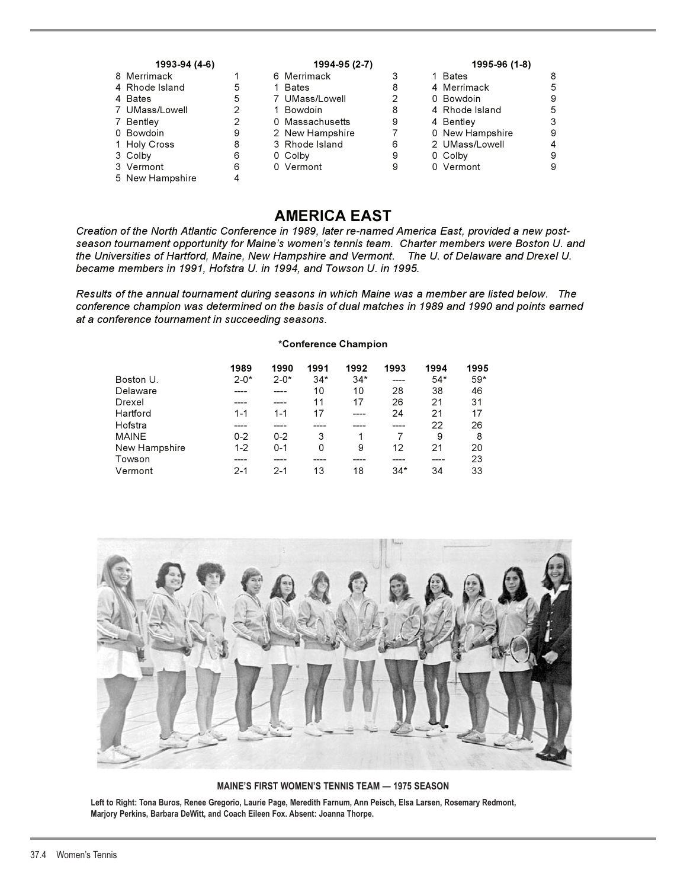| 1993-94 (4-6) |                |   | 1994-95 (2-7)   | 1995-96 (1-8) |                 |   |
|---------------|----------------|---|-----------------|---------------|-----------------|---|
|               | 8 Merrimack    |   | 6 Merrimack     |               | 1 Bates         |   |
|               | 4 Rhode Island | 5 | <b>Bates</b>    | 8             | 4 Merrimack     |   |
|               | 4 Bates        | 5 | 7 UMass/Lowell  |               | 0 Bowdoin       |   |
|               | 7 UMass/Lowell | 2 | 1 Bowdoin       | 8             | 4 Rhode Island  |   |
|               | 7 Bentley      | 2 | 0 Massachusetts | 9             | 4 Bentley       |   |
|               | 0 Bowdoin      | 9 | 2 New Hampshire |               | 0 New Hampshire | 9 |
|               | 1 Holy Cross   | 8 | 3 Rhode Island  | 6             | 2 UMass/Lowell  |   |
|               | 3 Colby        | 6 | 0 Colby         | 9             | 0 Colby         |   |
|               | 3 Vermont      | 6 | 0 Vermont       | 9             | 0 Vermont       |   |

5 New Hampshire 4

## **AMERICA EAST**

*Creation of the North Atlantic Conference in 1989, later re-named America East, provided a new postseason tournament opportunity for Maine's women's tennis team. Charter members were Boston U. and the Universities of Hartford, Maine, New Hampshire and Vermont. The U. of Delaware and Drexel U. became members in 1991, Hofstra U. in 1994, and Towson U. in 1995.*

*Results of the annual tournament during seasons in which Maine was a member are listed below. The conference champion was determined on the basis of dual matches in 1989 and 1990 and points earned at a conference tournament in succeeding seasons.*

#### **\*Conference Champion**

|               | 1989     | 1990     | 1991  | 1992  | 1993  | 1994  | 1995  |
|---------------|----------|----------|-------|-------|-------|-------|-------|
| Boston U.     | $2 - 0*$ | $2 - 0*$ | $34*$ | $34*$ | ----  | $54*$ | $59*$ |
| Delaware      |          |          | 10    | 10    | 28    | 38    | 46    |
| Drexel        |          | ----     | 11    | 17    | 26    | 21    | 31    |
| Hartford      | $1 - 1$  | $1 - 1$  | 17    | ----  | 24    | 21    | 17    |
| Hofstra       |          |          |       |       | ----  | 22    | 26    |
| <b>MAINE</b>  | $0 - 2$  | $0 - 2$  | 3     |       |       | 9     | 8     |
| New Hampshire | $1 - 2$  | $0 - 1$  | 0     | 9     | 12    | 21    | 20    |
| Towson        |          |          |       |       |       |       | 23    |
| Vermont       | $2-1$    | $2-1$    | 13    | 18    | $34*$ | 34    | 33    |



**MAINE'S FIRST WOMEN'S TENNIS TEAM — 1975 SEASON**

**Left to Right: Tona Buros, Renee Gregorio, Laurie Page, Meredith Farnum, Ann Peisch, Elsa Larsen, Rosemary Redmont, Marjory Perkins, Barbara DeWitt, and Coach Eileen Fox. Absent: Joanna Thorpe.**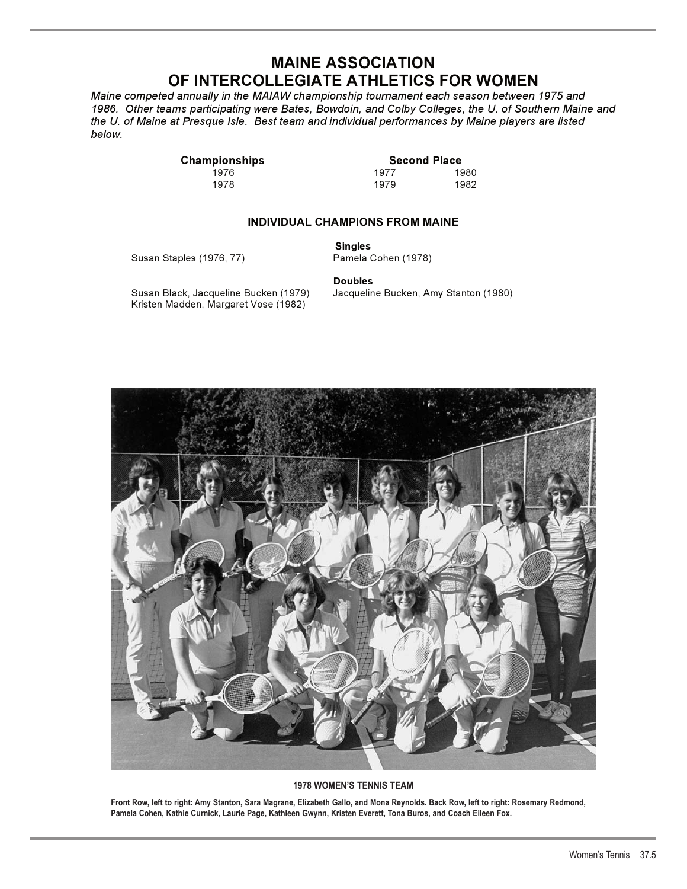## **MAINE ASSOCIATION OF INTERCOLLEGIATE ATHLETICS FOR WOMEN**

*Maine competed annually in the MAIAW championship tournament each season between 1975 and 1986. Other teams participating were Bates, Bowdoin, and Colby Colleges, the U. of Southern Maine and the U. of Maine at Presque Isle. Best team and individual performances by Maine players are listed below.*

1978 1979 1982

**Championships**<br>1976 **1976 1980** 1976 1977 1980

## **INDIVIDUAL CHAMPIONS FROM MAINE**

Susan Staples (1976, 77)

**Singles** 

Susan Black, Jacqueline Bucken (1979) Jacqueline Bucken, Amy Stanton (1980) Kristen Madden, Margaret Vose (1982)

**Doubles** 



#### **1978 WOMEN'S TENNIS TEAM**

**Front Row, left to right: Amy Stanton, Sara Magrane, Elizabeth Gallo, and Mona Reynolds. Back Row, left to right: Rosemary Redmond, Pamela Cohen, Kathie Curnick, Laurie Page, Kathleen Gwynn, Kristen Everett, Tona Buros, and Coach Eileen Fox.**